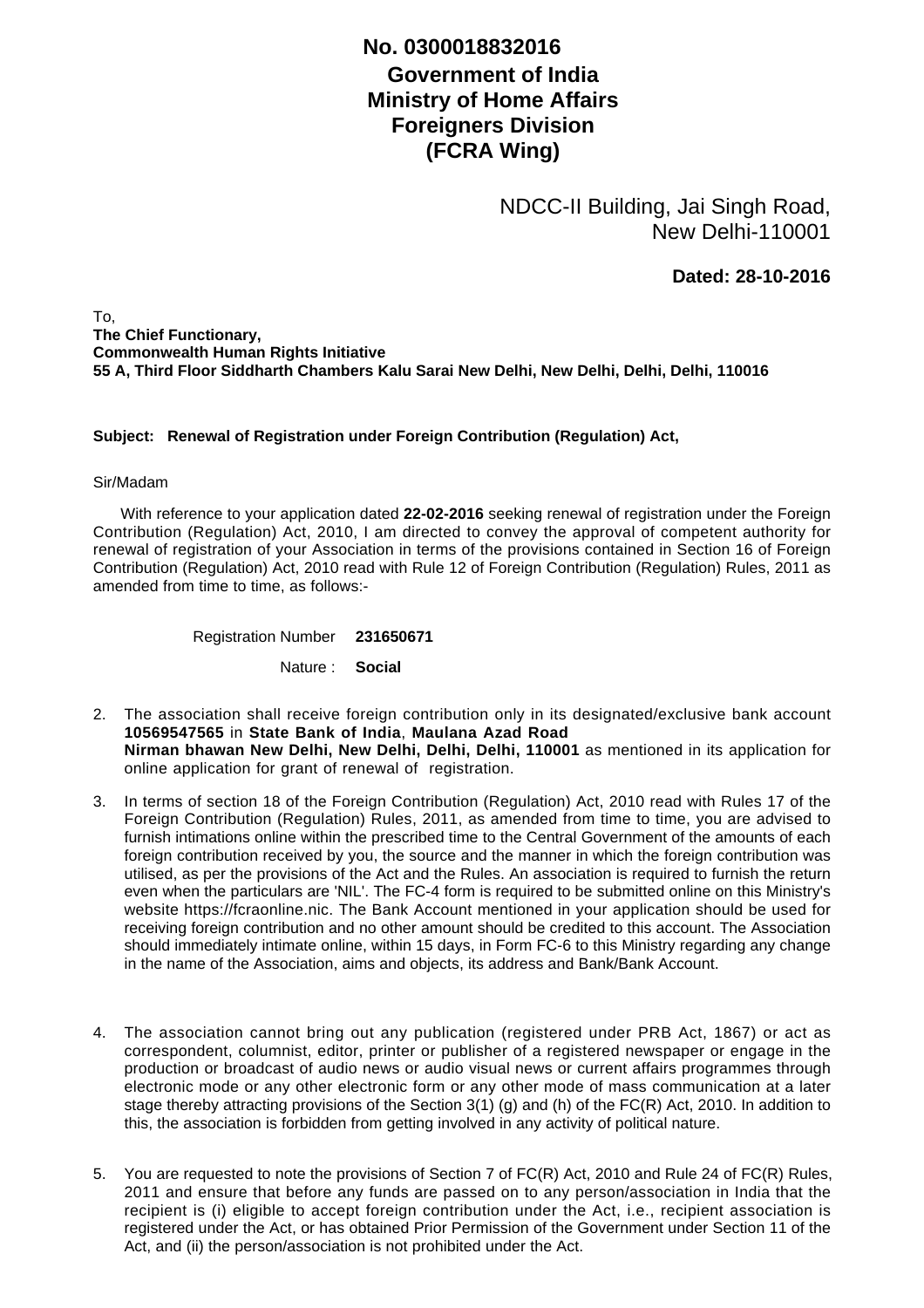## **Government of India Ministry of Home Affairs Foreigners Division (FCRA Wing) No. 0300018832016**

NDCC-II Building, Jai Singh Road, New Delhi-110001

**Dated: 28-10-2016**

To, **The Chief Functionary, Commonwealth Human Rights Initiative 55 A, Third Floor Siddharth Chambers Kalu Sarai New Delhi, New Delhi, Delhi, Delhi, 110016**

## **Subject: Renewal of Registration under Foreign Contribution (Regulation) Act,**

## Sir/Madam

 With reference to your application dated **22-02-2016** seeking renewal of registration under the Foreign Contribution (Regulation) Act, 2010, I am directed to convey the approval of competent authority for renewal of registration of your Association in terms of the provisions contained in Section 16 of Foreign Contribution (Regulation) Act, 2010 read with Rule 12 of Foreign Contribution (Regulation) Rules, 2011 as amended from time to time, as follows:-

Registration Number **231650671**

Nature : **Social**

- The association shall receive foreign contribution only in its designated/exclusive bank account 2. **10569547565** in **State Bank of India**, **Maulana Azad Road Nirman bhawan New Delhi, New Delhi, Delhi, Delhi, 110001** as mentioned in its application for online application for grant of renewal of registration.
- 3. In terms of section 18 of the Foreign Contribution (Regulation) Act, 2010 read with Rules 17 of the Foreign Contribution (Regulation) Rules, 2011, as amended from time to time, you are advised to furnish intimations online within the prescribed time to the Central Government of the amounts of each foreign contribution received by you, the source and the manner in which the foreign contribution was utilised, as per the provisions of the Act and the Rules. An association is required to furnish the return even when the particulars are 'NIL'. The FC-4 form is required to be submitted online on this Ministry's website https://fcraonline.nic. The Bank Account mentioned in your application should be used for receiving foreign contribution and no other amount should be credited to this account. The Association should immediately intimate online, within 15 days, in Form FC-6 to this Ministry regarding any change in the name of the Association, aims and objects, its address and Bank/Bank Account.
- 4. The association cannot bring out any publication (registered under PRB Act, 1867) or act as correspondent, columnist, editor, printer or publisher of a registered newspaper or engage in the production or broadcast of audio news or audio visual news or current affairs programmes through electronic mode or any other electronic form or any other mode of mass communication at a later stage thereby attracting provisions of the Section 3(1) (g) and (h) of the FC(R) Act, 2010. In addition to this, the association is forbidden from getting involved in any activity of political nature.
- 5. You are requested to note the provisions of Section 7 of FC(R) Act, 2010 and Rule 24 of FC(R) Rules, 2011 and ensure that before any funds are passed on to any person/association in India that the recipient is (i) eligible to accept foreign contribution under the Act, i.e., recipient association is registered under the Act, or has obtained Prior Permission of the Government under Section 11 of the Act, and (ii) the person/association is not prohibited under the Act.